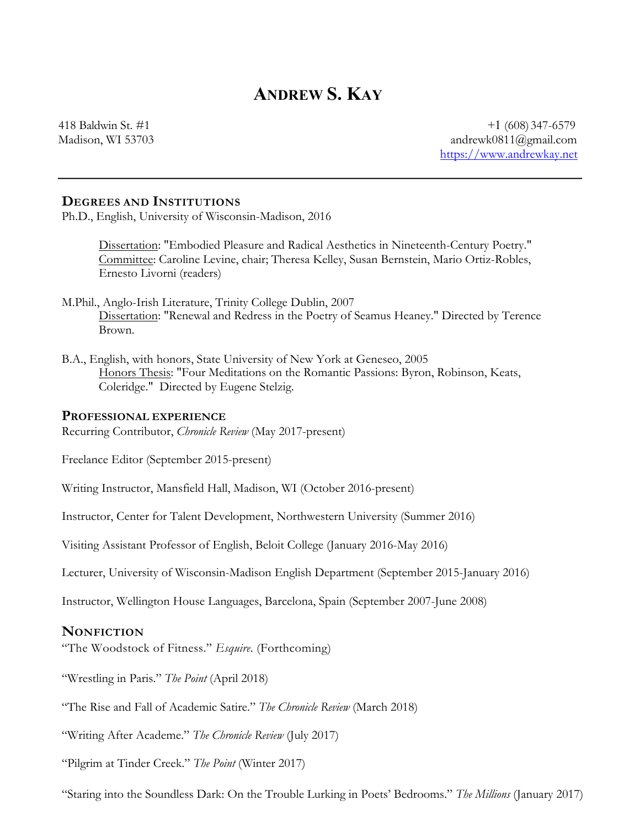# **ANDREW S. KAY**

418 Baldwin St. #1  $\pm 1$  (608) 347-6579 Madison, WI 53703 andrewk0811@gmail.com https://www.andrewkay.net

#### **DEGREES AND INSTITUTIONS**

Ph.D., English, University of Wisconsin-Madison, 2016

Dissertation: "Embodied Pleasure and Radical Aesthetics in Nineteenth-Century Poetry." Committee: Caroline Levine, chair; Theresa Kelley, Susan Bernstein, Mario Ortiz-Robles, Ernesto Livorni (readers)

- M.Phil., Anglo-Irish Literature, Trinity College Dublin, 2007 Dissertation: "Renewal and Redress in the Poetry of Seamus Heaney." Directed by Terence Brown.
- B.A., English, with honors, State University of New York at Geneseo, 2005 Honors Thesis: "Four Meditations on the Romantic Passions: Byron, Robinson, Keats, Coleridge." Directed by Eugene Stelzig.

#### **PROFESSIONAL EXPERIENCE**

Recurring Contributor, *Chronicle Review* (May 2017-present)

Freelance Editor (September 2015-present)

Writing Instructor, Mansfield Hall, Madison, WI (October 2016-present)

Instructor, Center for Talent Development, Northwestern University (Summer 2016)

Visiting Assistant Professor of English, Beloit College (January 2016-May 2016)

Lecturer, University of Wisconsin-Madison English Department (September 2015-January 2016)

Instructor, Wellington House Languages, Barcelona, Spain (September 2007-June 2008)

#### **NONFICTION**

"The Woodstock of Fitness." *Esquire*. (Forthcoming)

"Wrestling in Paris." *The Point* (April 2018)

"The Rise and Fall of Academic Satire." *The Chronicle Review* (March 2018)

"Writing After Academe." *The Chronicle Review* (July 2017)

"Pilgrim at Tinder Creek." *The Point* (Winter 2017)

"Staring into the Soundless Dark: On the Trouble Lurking in Poets' Bedrooms." *The Millions* (January 2017)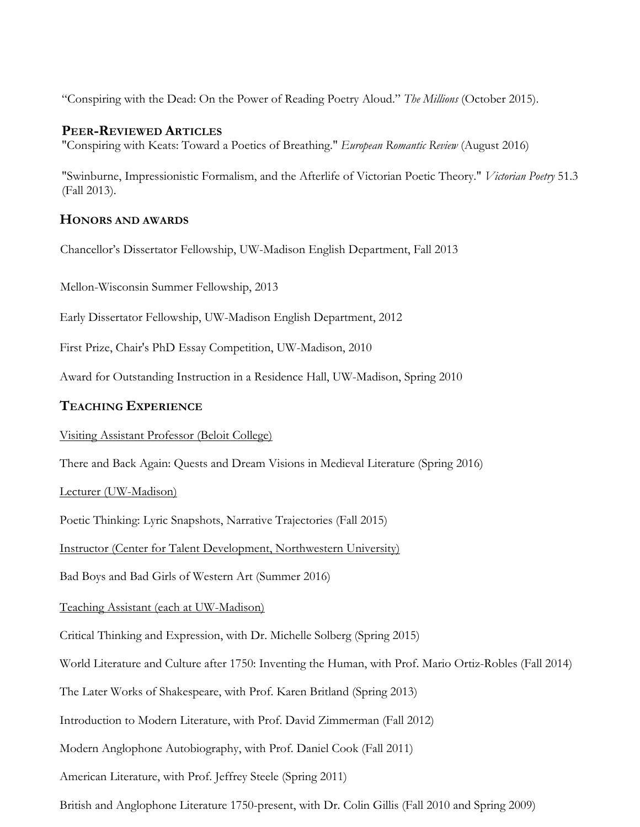"Conspiring with the Dead: On the Power of Reading Poetry Aloud." *The Millions* (October 2015).

## **PEER-REVIEWED ARTICLES**

"Conspiring with Keats: Toward a Poetics of Breathing." *European Romantic Review* (August 2016)

"Swinburne, Impressionistic Formalism, and the Afterlife of Victorian Poetic Theory." *Victorian Poetry* 51.3 (Fall 2013).

## **HONORS AND AWARDS**

Chancellor's Dissertator Fellowship, UW-Madison English Department, Fall 2013

Mellon-Wisconsin Summer Fellowship, 2013

Early Dissertator Fellowship, UW-Madison English Department, 2012

First Prize, Chair's PhD Essay Competition, UW-Madison, 2010

Award for Outstanding Instruction in a Residence Hall, UW-Madison, Spring 2010

## **TEACHING EXPERIENCE**

#### Visiting Assistant Professor (Beloit College)

There and Back Again: Quests and Dream Visions in Medieval Literature (Spring 2016)

#### Lecturer (UW-Madison)

Poetic Thinking: Lyric Snapshots, Narrative Trajectories (Fall 2015)

Instructor (Center for Talent Development, Northwestern University)

Bad Boys and Bad Girls of Western Art (Summer 2016)

## Teaching Assistant (each at UW-Madison)

Critical Thinking and Expression, with Dr. Michelle Solberg (Spring 2015)

World Literature and Culture after 1750: Inventing the Human, with Prof. Mario Ortiz-Robles (Fall 2014)

The Later Works of Shakespeare, with Prof. Karen Britland (Spring 2013)

Introduction to Modern Literature, with Prof. David Zimmerman (Fall 2012)

Modern Anglophone Autobiography, with Prof. Daniel Cook (Fall 2011)

American Literature, with Prof. Jeffrey Steele (Spring 2011)

British and Anglophone Literature 1750-present, with Dr. Colin Gillis (Fall 2010 and Spring 2009)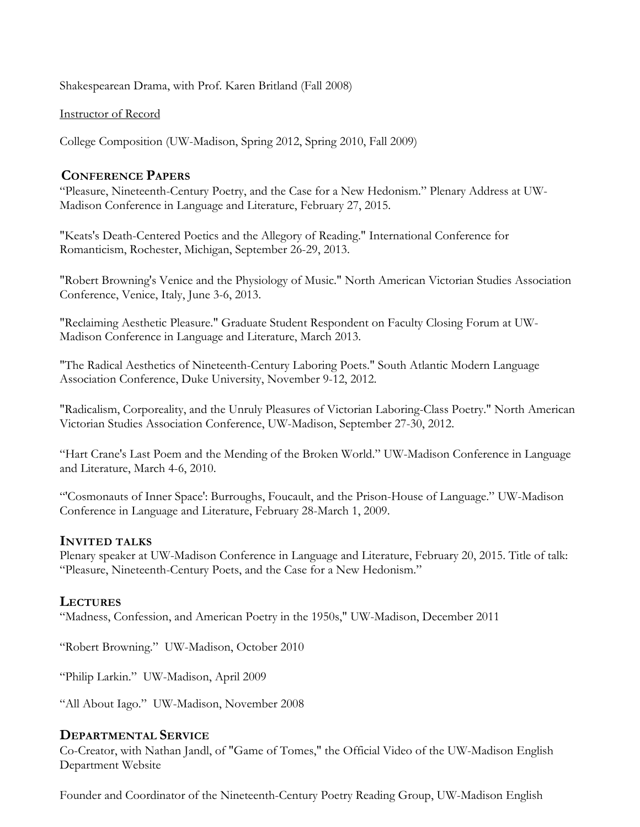Shakespearean Drama, with Prof. Karen Britland (Fall 2008)

#### Instructor of Record

College Composition (UW-Madison, Spring 2012, Spring 2010, Fall 2009)

## **CONFERENCE PAPERS**

"Pleasure, Nineteenth-Century Poetry, and the Case for a New Hedonism." Plenary Address at UW-Madison Conference in Language and Literature, February 27, 2015.

"Keats's Death-Centered Poetics and the Allegory of Reading." International Conference for Romanticism, Rochester, Michigan, September 26-29, 2013.

"Robert Browning's Venice and the Physiology of Music." North American Victorian Studies Association Conference, Venice, Italy, June 3-6, 2013.

"Reclaiming Aesthetic Pleasure." Graduate Student Respondent on Faculty Closing Forum at UW-Madison Conference in Language and Literature, March 2013.

"The Radical Aesthetics of Nineteenth-Century Laboring Poets." South Atlantic Modern Language Association Conference, Duke University, November 9-12, 2012.

"Radicalism, Corporeality, and the Unruly Pleasures of Victorian Laboring-Class Poetry." North American Victorian Studies Association Conference, UW-Madison, September 27-30, 2012.

"Hart Crane's Last Poem and the Mending of the Broken World." UW-Madison Conference in Language and Literature, March 4-6, 2010.

"'Cosmonauts of Inner Space': Burroughs, Foucault, and the Prison-House of Language." UW-Madison Conference in Language and Literature, February 28-March 1, 2009.

## **INVITED TALKS**

Plenary speaker at UW-Madison Conference in Language and Literature, February 20, 2015. Title of talk: "Pleasure, Nineteenth-Century Poets, and the Case for a New Hedonism."

## **LECTURES**

"Madness, Confession, and American Poetry in the 1950s," UW-Madison, December 2011

"Robert Browning." UW-Madison, October 2010

"Philip Larkin." UW-Madison, April 2009

"All About Iago." UW-Madison, November 2008

## **DEPARTMENTAL SERVICE**

Co-Creator, with Nathan Jandl, of "Game of Tomes," the Official Video of the UW-Madison English Department Website

Founder and Coordinator of the Nineteenth-Century Poetry Reading Group, UW-Madison English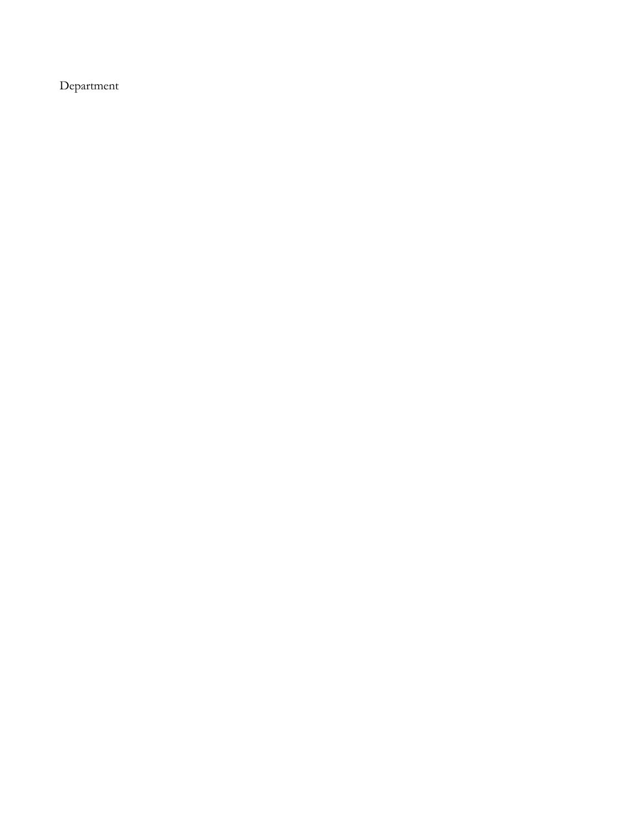Department